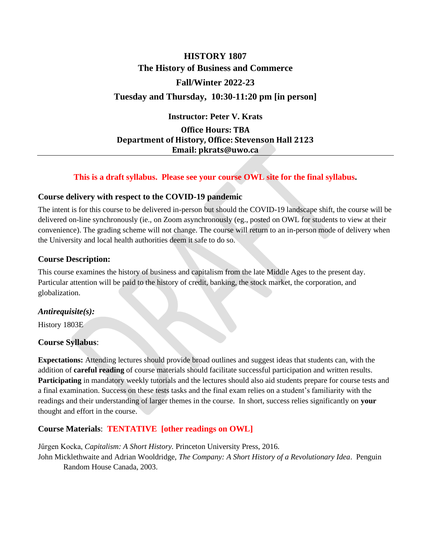# **HISTORY 1807 The History of Business and Commerce Fall/Winter 2022-23 Tuesday and Thursday, 10:30-11:20 pm [in person]**

**Instructor: Peter V. Krats**

**Office Hours: TBA Department of History, Office: Stevenson Hall 2123 Email: pkrats@uwo.ca**

#### **This is a draft syllabus. Please see your course OWL site for the final syllabus.**

#### **Course delivery with respect to the COVID-19 pandemic**

The intent is for this course to be delivered in-person but should the COVID-19 landscape shift, the course will be delivered on-line synchronously (ie., on Zoom asynchronously (eg., posted on OWL for students to view at their convenience). The grading scheme will not change. The course will return to an in-person mode of delivery when the University and local health authorities deem it safe to do so.

## **Course Description:**

This course examines the history of business and capitalism from the late Middle Ages to the present day. Particular attention will be paid to the history of credit, banking, the stock market, the corporation, and globalization.

## *Antirequisite(s):*

History 1803E

#### **Course Syllabus**:

**Expectations:** Attending lectures should provide broad outlines and suggest ideas that students can, with the addition of **careful reading** of course materials should facilitate successful participation and written results. **Participating** in mandatory weekly tutorials and the lectures should also aid students prepare for course tests and a final examination. Success on these tests tasks and the final exam relies on a student's familiarity with the readings and their understanding of larger themes in the course. In short, success relies significantly on **your** thought and effort in the course.

## **Course Materials**: **TENTATIVE [other readings on OWL]**

Jűrgen Kocka, *Capitalism: A Short History.* Princeton University Press, 2016.

John Micklethwaite and Adrian Wooldridge, *The Company: A Short History of a Revolutionary Idea*. Penguin Random House Canada, 2003.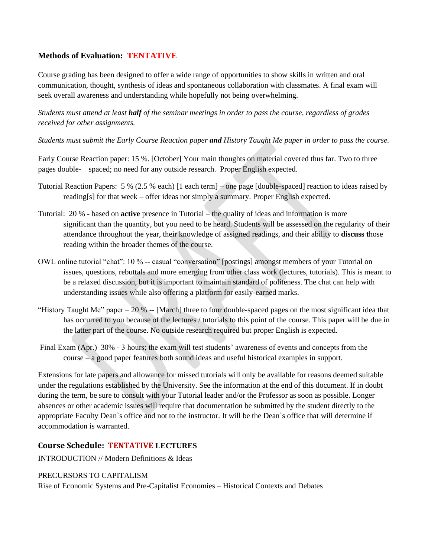## **Methods of Evaluation: TENTATIVE**

Course grading has been designed to offer a wide range of opportunities to show skills in written and oral communication, thought, synthesis of ideas and spontaneous collaboration with classmates. A final exam will seek overall awareness and understanding while hopefully not being overwhelming.

*Students must attend at least half of the seminar meetings in order to pass the course, regardless of grades received for other assignments.*

*Students must submit the Early Course Reaction paper and History Taught Me paper in order to pass the course.*

Early Course Reaction paper: 15 %. [October] Your main thoughts on material covered thus far. Two to three pages double- spaced; no need for any outside research. Proper English expected.

- Tutorial Reaction Papers: 5 % (2.5 % each) [1 each term] one page [double-spaced] reaction to ideas raised by reading[s] for that week – offer ideas not simply a summary. Proper English expected.
- Tutorial: 20 % based on **active** presence in Tutorial the quality of ideas and information is more significant than the quantity, but you need to be heard. Students will be assessed on the regularity of their attendance throughout the year, their knowledge of assigned readings, and their ability to **discuss t**hose reading within the broader themes of the course.
- OWL online tutorial "chat": 10 % -- casual "conversation" [postings] amongst members of your Tutorial on issues, questions, rebuttals and more emerging from other class work (lectures, tutorials). This is meant to be a relaxed discussion, but it is important to maintain standard of politeness. The chat can help with understanding issues while also offering a platform for easily-earned marks.
- "History Taught Me" paper 20 % -- [March] three to four double-spaced pages on the most significant idea that has occurred to you because of the lectures / tutorials to this point of the course. This paper will be due in the latter part of the course. No outside research required but proper English is expected.
- Final Exam (Apr.) 30% 3 hours; the exam will test students' awareness of events and concepts from the course – a good paper features both sound ideas and useful historical examples in support.

Extensions for late papers and allowance for missed tutorials will only be available for reasons deemed suitable under the regulations established by the University. See the information at the end of this document. If in doubt during the term, be sure to consult with your Tutorial leader and/or the Professor as soon as possible. Longer absences or other academic issues will require that documentation be submitted by the student directly to the appropriate Faculty Dean`s office and not to the instructor. It will be the Dean`s office that will determine if accommodation is warranted.

## **Course Schedule: TENTATIVE LECTURES**

INTRODUCTION // Modern Definitions & Ideas

#### PRECURSORS TO CAPITALISM

Rise of Economic Systems and Pre-Capitalist Economies – Historical Contexts and Debates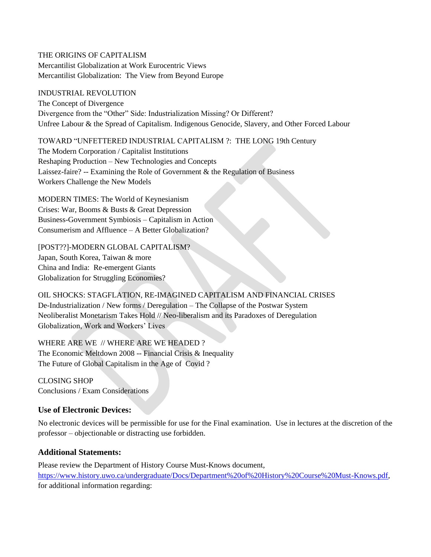THE ORIGINS OF CAPITALISM Mercantilist Globalization at Work Eurocentric Views Mercantilist Globalization: The View from Beyond Europe

#### INDUSTRIAL REVOLUTION

The Concept of Divergence Divergence from the "Other" Side: Industrialization Missing? Or Different? Unfree Labour & the Spread of Capitalism. Indigenous Genocide, Slavery, and Other Forced Labour

TOWARD "UNFETTERED INDUSTRIAL CAPITALISM ?: THE LONG 19th Century

The Modern Corporation / Capitalist Institutions Reshaping Production – New Technologies and Concepts Laissez-faire? -- Examining the Role of Government  $\&$  the Regulation of Business Workers Challenge the New Models

MODERN TIMES: The World of Keynesianism Crises: War, Booms & Busts & Great Depression Business-Government Symbiosis – Capitalism in Action Consumerism and Affluence – A Better Globalization?

[POST??]-MODERN GLOBAL CAPITALISM? Japan, South Korea, Taiwan & more China and India: Re-emergent Giants Globalization for Struggling Economies?

OIL SHOCKS: STAGFLATION, RE-IMAGINED CAPITALISM AND FINANCIAL CRISES De-Industrialization / New forms / Deregulation – The Collapse of the Postwar System Neoliberalist Monetarism Takes Hold // Neo-liberalism and its Paradoxes of Deregulation Globalization, Work and Workers' Lives

WHERE ARE WE // WHERE ARE WE HEADED ? The Economic Meltdown 2008 -- Financial Crisis & Inequality The Future of Global Capitalism in the Age of Covid ?

CLOSING SHOP Conclusions / Exam Considerations

## **Use of Electronic Devices:**

No electronic devices will be permissible for use for the Final examination. Use in lectures at the discretion of the professor – objectionable or distracting use forbidden.

#### **Additional Statements:**

Please review the Department of History Course Must-Knows document, [https://www.history.uwo.ca/undergraduate/Docs/Department%20of%20History%20Course%20Must-Knows.pdf,](https://www.history.uwo.ca/undergraduate/Docs/Department%20of%20History%20Course%20Must-Knows.pdf) for additional information regarding: